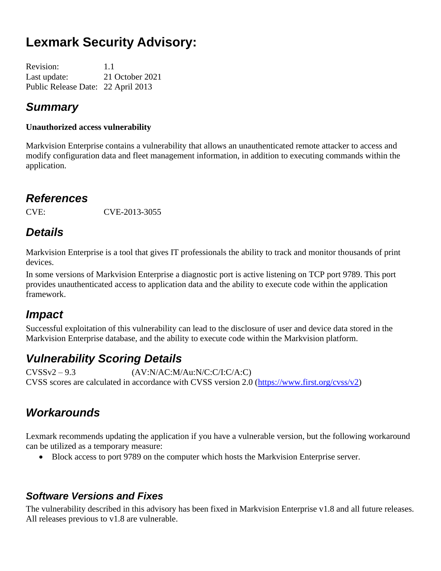# **Lexmark Security Advisory:**

| <b>Revision:</b>                   | 1.1             |
|------------------------------------|-----------------|
| Last update:                       | 21 October 2021 |
| Public Release Date: 22 April 2013 |                 |

#### *Summary*

#### **Unauthorized access vulnerability**

Markvision Enterprise contains a vulnerability that allows an unauthenticated remote attacker to access and modify configuration data and fleet management information, in addition to executing commands within the application.

#### *References*

CVE: CVE-2013-3055

## *Details*

Markvision Enterprise is a tool that gives IT professionals the ability to track and monitor thousands of print devices.

In some versions of Markvision Enterprise a diagnostic port is active listening on TCP port 9789. This port provides unauthenticated access to application data and the ability to execute code within the application framework.

#### *Impact*

Successful exploitation of this vulnerability can lead to the disclosure of user and device data stored in the Markvision Enterprise database, and the ability to execute code within the Markvision platform.

## *Vulnerability Scoring Details*

CVSSv2 – 9.3 (AV:N/AC:M/Au:N/C:C/I:C/A:C) CVSS scores are calculated in accordance with CVSS version 2.0 [\(https://www.first.org/cvss/v2\)](https://www.first.org/cvss/v2)

## *Workarounds*

Lexmark recommends updating the application if you have a vulnerable version, but the following workaround can be utilized as a temporary measure:

• Block access to port 9789 on the computer which hosts the Markvision Enterprise server.

#### *Software Versions and Fixes*

The vulnerability described in this advisory has been fixed in Markvision Enterprise v1.8 and all future releases. All releases previous to v1.8 are vulnerable.